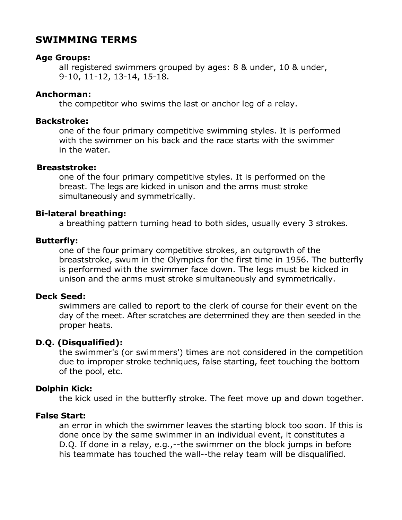# **SWIMMING TERMS**

### **Age Groups:**

all registered swimmers grouped by ages: 8 & under, 10 & under, 9-10, 11-12, 13-14, 15-18.

### **Anchorman:**

the competitor who swims the last or anchor leg of a relay.

#### **Backstroke:**

one of the four primary competitive swimming styles. It is performed with the swimmer on his back and the race starts with the swimmer in the water.

### **Breaststroke:**

one of the four primary competitive styles. It is performed on the breast. The legs are kicked in unison and the arms must stroke simultaneously and symmetrically.

# **Bi-lateral breathing:**

a breathing pattern turning head to both sides, usually every 3 strokes.

### **Butterfly:**

one of the four primary competitive strokes, an outgrowth of the breaststroke, swum in the Olympics for the first time in 1956. The butterfly is performed with the swimmer face down. The legs must be kicked in unison and the arms must stroke simultaneously and symmetrically.

#### **Deck Seed:**

swimmers are called to report to the clerk of course for their event on the day of the meet. After scratches are determined they are then seeded in the proper heats.

# **D.Q. (Disqualified):**

the swimmer's (or swimmers') times are not considered in the competition due to improper stroke techniques, false starting, feet touching the bottom of the pool, etc.

# **Dolphin Kick:**

the kick used in the butterfly stroke. The feet move up and down together.

# **False Start:**

an error in which the swimmer leaves the starting block too soon. If this is done once by the same swimmer in an individual event, it constitutes a D.Q. If done in a relay, e.g.,--the swimmer on the block jumps in before his teammate has touched the wall--the relay team will be disqualified.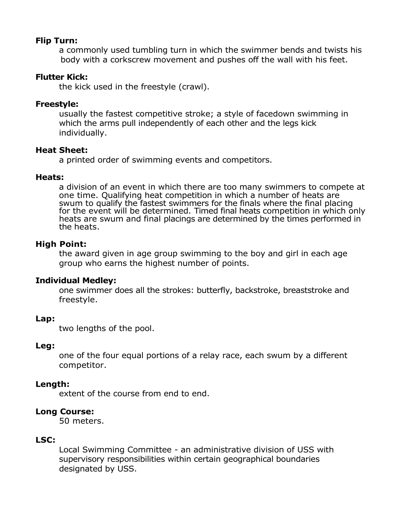# **Flip Turn:**

a commonly used tumbling turn in which the swimmer bends and twists his body with a corkscrew movement and pushes off the wall with his feet.

#### **Flutter Kick:**

the kick used in the freestyle (crawl).

### **Freestyle:**

usually the fastest competitive stroke; a style of facedown swimming in which the arms pull independently of each other and the legs kick individually.

#### **Heat Sheet:**

a printed order of swimming events and competitors.

#### **Heats:**

a division of an event in which there are too many swimmers to compete at one time. Qualifying heat competition in which a number of heats are swum to qualify the fastest swimmers for the finals where the final placing for the event will be determined. Timed final heats competition in which only heats are swum and final placings are determined by the times performed in the heats.

# **High Point:**

the award given in age group swimming to the boy and girl in each age group who earns the highest number of points.

#### **Individual Medley:**

one swimmer does all the strokes: butterfly, backstroke, breaststroke and freestyle.

#### **Lap:**

two lengths of the pool.

#### **Leg:**

one of the four equal portions of a relay race, each swum by a different competitor.

# **Length:**

extent of the course from end to end.

# **Long Course:**

50 meters.

# **LSC:**

Local Swimming Committee - an administrative division of USS with supervisory responsibilities within certain geographical boundaries designated by USS.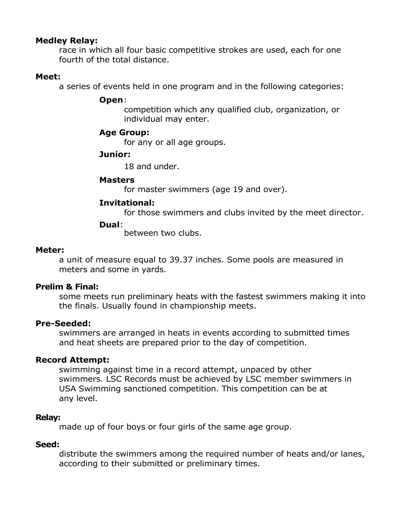### **Medley Relay:**

race in which all four basic competitive strokes are used, each for one fourth of the total distance.

#### **Meet:**

a series of events held in one program and in the following categories:

#### **Open**:

competition which any qualified club, organization, or individual may enter.

# **Age Group:**

for any or all age groups.

#### **Junior:**

18 and under.

### **Masters**

for master swimmers (age 19 and over).

# **Invitational:**

for those swimmers and clubs invited by the meet director.

### **Dual**:

between two clubs.

#### **Meter:**

a unit of measure equal to 39.37 inches. Some pools are measured in meters and some in yards.

#### **Prelim & Final:**

some meets run preliminary heats with the fastest swimmers making it into the finals. Usually found in championship meets.

# **Pre-Seeded:**

swimmers are arranged in heats in events according to submitted times and heat sheets are prepared prior to the day of competition.

# **Record Attempt:**

swimming against time in a record attempt, unpaced by other swimmers. LSC Records must be achieved by LSC member swimmers in USA Swimming sanctioned competition. This competition can be at any level.

#### **Relay:**

made up of four boys or four girls of the same age group.

#### **Seed:**

distribute the swimmers among the required number of heats and/or lanes, according to their submitted or preliminary times.